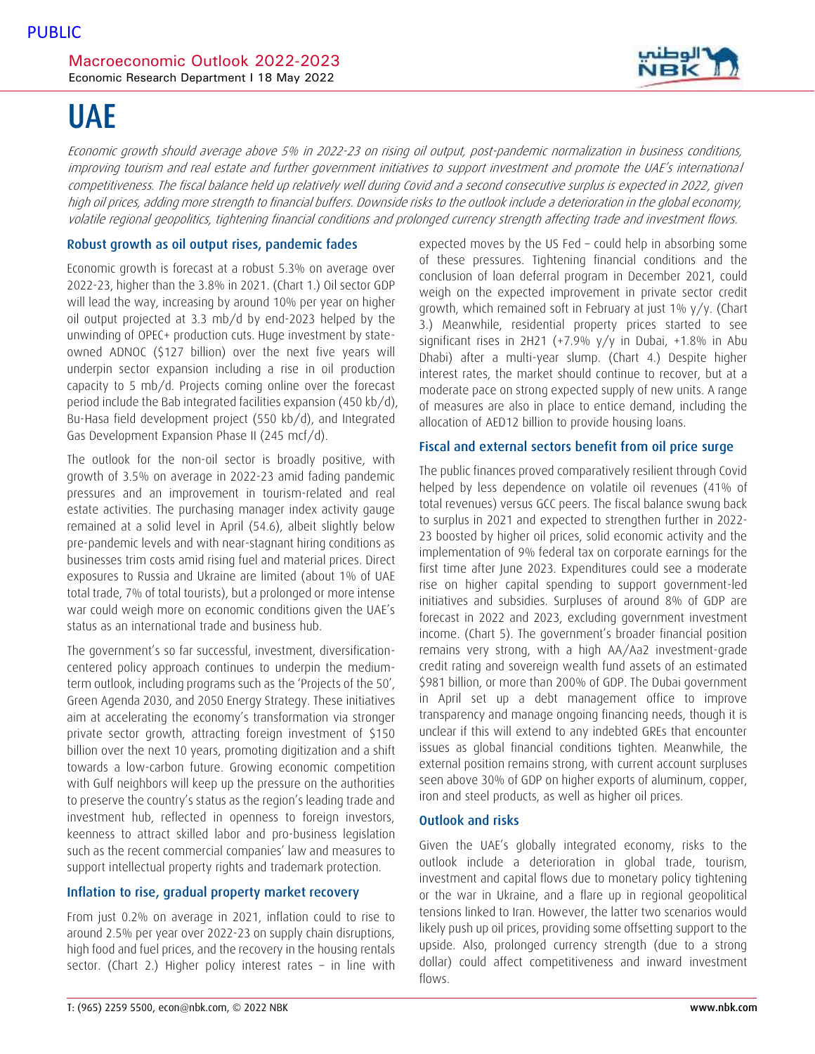# UAE

Economic growth should average above 5% in 2022-23 on rising oil output, post-pandemic normalization in business conditions, improving tourism and real estate and further government initiatives to support investment and promote the UAE's international competitiveness. The fiscal balance held up relatively well during Covid and a second consecutive surplus is expected in 2022, given high oil prices, adding more strength to financial buffers. Downside risks to the outlook include a deterioration in the global economy, volatile regional geopolitics, tightening financial conditions and prolonged currency strength affecting trade and investment flows.

### Robust growth as oil output rises, pandemic fades

Economic growth is forecast at a robust 5.3% on average over 2022-23, higher than the 3.8% in 2021. (Chart 1.) Oil sector GDP will lead the way, increasing by around 10% per year on higher oil output projected at 3.3 mb/d by end-2023 helped by the unwinding of OPEC+ production cuts. Huge investment by stateowned ADNOC (\$127 billion) over the next five years will underpin sector expansion including a rise in oil production capacity to 5 mb/d. Projects coming online over the forecast period include the Bab integrated facilities expansion (450 kb/d), Bu-Hasa field development project (550 kb/d), and Integrated Gas Development Expansion Phase II (245 mcf/d).

The outlook for the non-oil sector is broadly positive, with growth of 3.5% on average in 2022-23 amid fading pandemic pressures and an improvement in tourism-related and real estate activities. The purchasing manager index activity gauge remained at a solid level in April (54.6), albeit slightly below pre-pandemic levels and with near-stagnant hiring conditions as businesses trim costs amid rising fuel and material prices. Direct exposures to Russia and Ukraine are limited (about 1% of UAE total trade, 7% of total tourists), but a prolonged or more intense war could weigh more on economic conditions given the UAE's status as an international trade and business hub.

The government's so far successful, investment, diversificationcentered policy approach continues to underpin the mediumterm outlook, including programs such as the 'Projects of the 50', Green Agenda 2030, and 2050 Energy Strategy. These initiatives aim at accelerating the economy's transformation via stronger private sector growth, attracting foreign investment of \$150 billion over the next 10 years, promoting digitization and a shift towards a low-carbon future. Growing economic competition with Gulf neighbors will keep up the pressure on the authorities to preserve the country's status as the region's leading trade and investment hub, reflected in openness to foreign investors, keenness to attract skilled labor and pro-business legislation such as the recent commercial companies' law and measures to support intellectual property rights and trademark protection.

## Inflation to rise, gradual property market recovery

From just 0.2% on average in 2021, inflation could to rise to around 2.5% per year over 2022-23 on supply chain disruptions, high food and fuel prices, and the recovery in the housing rentals sector. (Chart 2.) Higher policy interest rates – in line with expected moves by the US Fed – could help in absorbing some of these pressures. Tightening financial conditions and the conclusion of loan deferral program in December 2021, could weigh on the expected improvement in private sector credit growth, which remained soft in February at just 1% y/y. (Chart 3.) Meanwhile, residential property prices started to see significant rises in 2H21 (+7.9%  $y/y$  in Dubai, +1.8% in Abu Dhabi) after a multi-year slump. (Chart 4.) Despite higher interest rates, the market should continue to recover, but at a moderate pace on strong expected supply of new units. A range of measures are also in place to entice demand, including the allocation of AED12 billion to provide housing loans.

### Fiscal and external sectors benefit from oil price surge

The public finances proved comparatively resilient through Covid helped by less dependence on volatile oil revenues (41% of total revenues) versus GCC peers. The fiscal balance swung back to surplus in 2021 and expected to strengthen further in 2022- 23 boosted by higher oil prices, solid economic activity and the implementation of 9% federal tax on corporate earnings for the first time after June 2023. Expenditures could see a moderate rise on higher capital spending to support government-led initiatives and subsidies. Surpluses of around 8% of GDP are forecast in 2022 and 2023, excluding government investment income. (Chart 5). The government's broader financial position remains very strong, with a high AA/Aa2 investment-grade credit rating and sovereign wealth fund assets of an estimated \$981 billion, or more than 200% of GDP. The Dubai government in April set up a debt management office to improve transparency and manage ongoing financing needs, though it is unclear if this will extend to any indebted GREs that encounter issues as global financial conditions tighten. Meanwhile, the external position remains strong, with current account surpluses seen above 30% of GDP on higher exports of aluminum, copper, iron and steel products, as well as higher oil prices.

# Outlook and risks

Given the UAE's globally integrated economy, risks to the outlook include a deterioration in global trade, tourism, investment and capital flows due to monetary policy tightening or the war in Ukraine, and a flare up in regional geopolitical tensions linked to Iran. However, the latter two scenarios would likely push up oil prices, providing some offsetting support to the upside. Also, prolonged currency strength (due to a strong dollar) could affect competitiveness and inward investment flows.